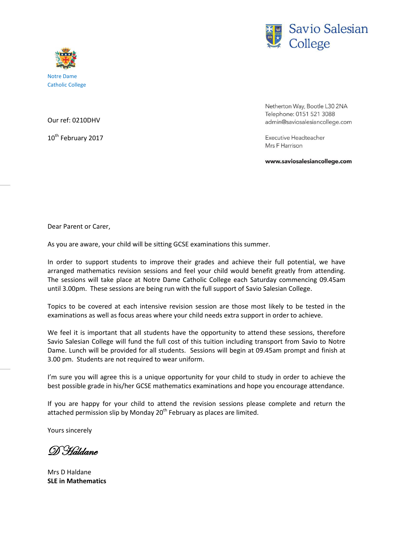



Our ref: 0210DHV

10<sup>th</sup> February 2017

Netherton Way, Bootle L30 2NA Telephone: 0151 521 3088 admin@saviosalesiancollege.com

**Executive Headteacher** Mrs F Harrison

www.saviosalesiancollege.com

Dear Parent or Carer,

As you are aware, your child will be sitting GCSE examinations this summer.

In order to support students to improve their grades and achieve their full potential, we have arranged mathematics revision sessions and feel your child would benefit greatly from attending. The sessions will take place at Notre Dame Catholic College each Saturday commencing 09.45am until 3.00pm. These sessions are being run with the full support of Savio Salesian College.

Topics to be covered at each intensive revision session are those most likely to be tested in the examinations as well as focus areas where your child needs extra support in order to achieve.

We feel it is important that all students have the opportunity to attend these sessions, therefore Savio Salesian College will fund the full cost of this tuition including transport from Savio to Notre Dame. Lunch will be provided for all students. Sessions will begin at 09.45am prompt and finish at 3.00 pm. Students are not required to wear uniform.

I'm sure you will agree this is a unique opportunity for your child to study in order to achieve the best possible grade in his/her GCSE mathematics examinations and hope you encourage attendance.

If you are happy for your child to attend the revision sessions please complete and return the attached permission slip by Monday  $20<sup>th</sup>$  February as places are limited.

Yours sincerely

D Haldane

Mrs D Haldane **SLE in Mathematics**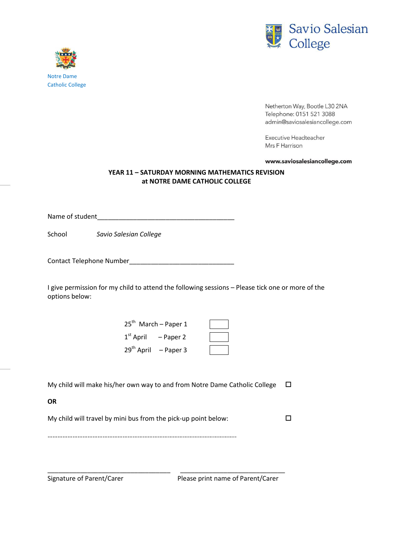

Netherton Way, Bootle L30 2NA Telephone: 0151 521 3088 admin@saviosalesiancollege.com

**Executive Headteacher** Mrs F Harrison

www.saviosalesiancollege.com

## **YEAR 11 – SATURDAY MORNING MATHEMATICS REVISION at NOTRE DAME CATHOLIC COLLEGE**

Name of student

School *Savio Salesian College* 

Contact Telephone Number\_\_\_\_\_\_\_\_\_\_\_\_\_\_\_\_\_\_\_\_\_\_\_\_\_\_\_\_\_

I give permission for my child to attend the following sessions – Please tick one or more of the options below:

> 25<sup>th</sup> March – Paper 1 1<sup>st</sup> April – Paper 2  $29<sup>th</sup>$  April – Paper 3

| My child will make his/her own way to and from Notre Dame Catholic College $\Box$ |  |
|-----------------------------------------------------------------------------------|--|
|-----------------------------------------------------------------------------------|--|

**OR**

My child will travel by mini bus from the pick-up point below:  $\square$ 

\_\_\_\_\_\_\_\_\_\_\_\_\_\_\_\_\_\_\_\_\_\_\_\_\_\_\_\_\_\_\_\_\_\_ \_\_\_\_\_\_\_\_\_\_\_\_\_\_\_\_\_\_\_\_\_\_\_\_\_\_\_\_\_

…………………………………………………………………………………………………..

Signature of Parent/Carer Please print name of Parent/Carer



Catholic College